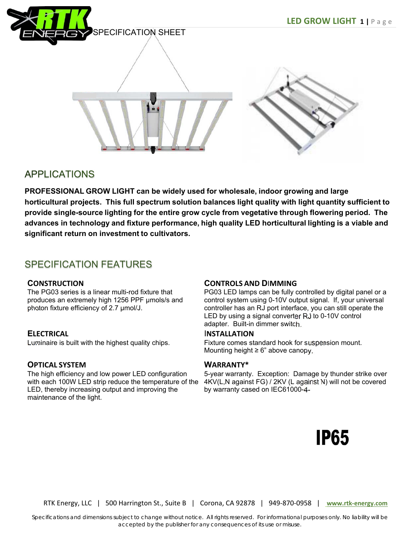



# **APPLICATIONS**

**PROFESSIONAL GROW LIGHT can be widely used for wholesale, indoor growing and large horticultural projects. This full spectrum solution balances light quality with light quantity sufficient to provide single-source lighting for the entire grow cycle from vegetative through flowering period. The advances in technology and fixture performance, high quality LED horticultural lighting is a viable and significant return on investment to cultivators.**

## SPECIFICATION FEATURES

### **CONSTRUCTION**

The PG03 series is a linear multi-rod fixture that produces an extremely high 1256 PPF µmols/s and photon fixture efficiency of 2.7 µmol/J.

## **ELECTRICAL**

Luminaire is built with the highest quality chips.

## **OPTICAL SYSTEM**

The high efficiency and low power LED configuration with each 100W LED strip reduce the temperature of the LED, thereby increasing output and improving the maintenance of the light.

### **CONTROLS AND D**I**MMING**

PG03 LED lamps can be fully controlled by digital panel or a control system using 0-10V output signal. If, your universal controller has an RJ port interface, you can still operate the LED by using a signal converter RJ to 0-10V control adapter. Built-in dimmer switch.

#### I**NSTALLATION**

Fixture comes standard hook for suspension mount. Mounting height  $\geq 6$ " above canopy.

### **WARRANTY\***

5-year warranty. Exception: Damage by thunder strike over 4KV(L,N against FG) / 2KV (L against N) will not be covered by warranty cased on IEC61000-4-



RTK Energy, LLC | 500 Harrington St., Suite B | Corona, CA 92878 | 949‐870‐0958 | **www.rtk-energy.com**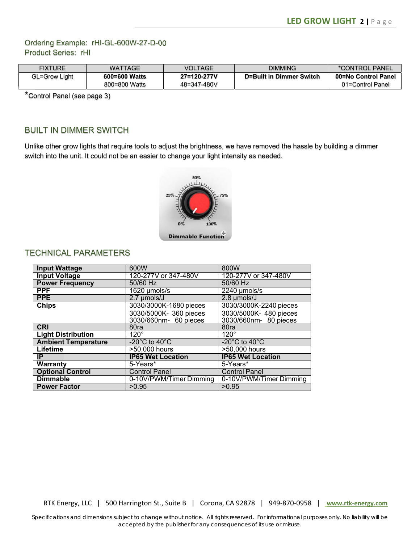## Ordering Example: rHI-GL-600W-27-D-00 Product Series: rHI

| <b>FIXTURE</b> | <b>WATTAGE</b> | VOLTAGE     | <b>DIMMING</b>           | *CONTROL PANEL      |
|----------------|----------------|-------------|--------------------------|---------------------|
| GL=Grow Light  | 600=600 Watts  | 27=120-277V | D=Built in Dimmer Switch | 00=No Control Panel |
|                | 800=800 Watts  | 48=347-480V |                          | 01=Control Panel    |

\*Control Panel (see page 3)

## BUILT IN DIMMER SWITCH

Unlike other grow lights that require tools to adjust the brightness, we have removed the hassle by building a dimmer switch into the unit. It could not be an easier to change your light intensity as needed.



## TECHNICAL PARAMETERS

| <b>Input Wattage</b>       | 600W                                | 800W                               |
|----------------------------|-------------------------------------|------------------------------------|
| <b>Input Voltage</b>       | 120-277V or 347-480V                | 120-277V or 347-480V               |
| <b>Power Frequency</b>     | 50/60 Hz                            | 50/60 Hz                           |
| <b>PPF</b>                 | 1620 µmols/s                        | 2240 µmols/s                       |
| <b>PPE</b>                 | 2.7 umols/J                         | 2.8 umols/J                        |
| <b>Chips</b>               | 3030/3000K-1680 pieces              | 3030/3000K-2240 pieces             |
|                            | 3030/5000K- 360 pieces              | 3030/5000K- 480 pieces             |
|                            | 3030/660nm- 60 pieces               | 3030/660nm- 80 pieces              |
| <b>CRI</b>                 | 80ra                                | 80ra                               |
| <b>Light Distribution</b>  | $120^\circ$                         | $120^\circ$                        |
| <b>Ambient Temperature</b> | -20 $^{\circ}$ C to 40 $^{\circ}$ C | $-20^{\circ}$ C to 40 $^{\circ}$ C |
| Lifetime                   | >50,000 hours                       | >50,000 hours                      |
| IP                         | <b>IP65 Wet Location</b>            | <b>IP65 Wet Location</b>           |
| <b>Warranty</b>            | 5-Years*                            | 5-Years*                           |
| <b>Optional Control</b>    | <b>Control Panel</b>                | <b>Control Panel</b>               |
| <b>Dimmable</b>            | 0-10V/PWM/Timer Dimming             | 0-10V/PWM/Timer Dimming            |
| <b>Power Factor</b>        | >0.95                               | >0.95                              |

RTK Energy, LLC | 500 Harrington St., Suite B | Corona, CA 92878 | 949‐870‐0958 | **www.rtk-energy.com**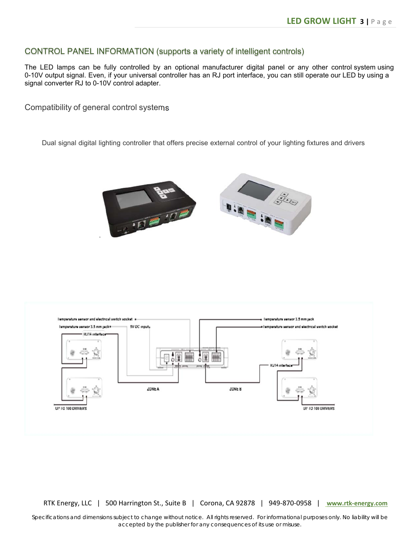#### CONTROL PANEL INFORMATION (supports a variety of intelligent controls)

The LED lamps can be fully controlled by an optional manufacturer digital panel or any other control system using 0-10V output signal. Even, if your universal controller has an RJ port interface, you can still operate our LED by using a signal converter RJ to 0-10V control adapter.

Compatibility of general control systems

Dual signal digital lighting controller that offers precise external control of your lighting fixtures and drivers





RTK Energy, LLC | 500 Harrington St., Suite B | Corona, CA 92878 | 949‐870‐0958 | **www.rtk-energy.com**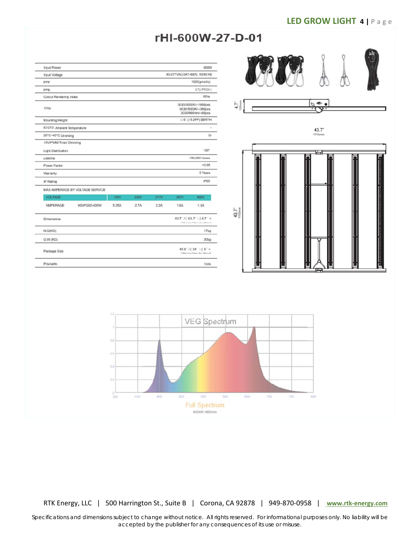# rHI-600W-27-D-01

| <b>Input Power</b>              |       |      |      |                                                                 | 60OW                |  |
|---------------------------------|-------|------|------|-----------------------------------------------------------------|---------------------|--|
| Input Voltage                   |       |      |      | 90-277VAC/347-480V, 50/60 Hz                                    |                     |  |
| PPF                             |       |      |      | 1620(umoi/s)                                                    |                     |  |
| PPE                             |       |      |      | 2.7(DPROG-)                                                     |                     |  |
| Colour Rendering Index          |       |      |      |                                                                 | 80ra                |  |
| Chip                            |       |      |      | 3030/3000K/--1680pcs<br>3030/5000K/~360pcs<br>3030/660nm/~60pcs |                     |  |
| Mounting Height                 |       |      |      |                                                                 | □ 6' (15.2FP) SERYH |  |
| 4DQRS! Ambient Temperature      |       |      |      |                                                                 |                     |  |
| 20°C-40°C Dimming               |       |      |      |                                                                 | o.                  |  |
| 10V/FWM/Timer Dimming           |       |      |      |                                                                 |                     |  |
| Light Distribution              |       |      |      |                                                                 | $120^\circ$         |  |
| Literame                        |       |      |      |                                                                 | >50,000 hours       |  |
| <b>Power Factor</b>             |       |      |      |                                                                 | >0.95               |  |
| Warranty                        |       |      |      |                                                                 | <b>5 Years</b>      |  |
| IP Rating                       |       |      |      |                                                                 | IP65                |  |
| MAX AMPERAGE BY VOLTAGE SERVICE |       |      |      |                                                                 |                     |  |
| <b>VOLTAGE</b>                  | 120V  | 230V | 277V | 347V                                                            | 480V                |  |
| AMPERAGE<br>HS-PG02-400W        | 5.25A | 2.7A | 2.2A | <b>1.8A</b>                                                     | 1.3A                |  |
| Dimensions                      |       |      |      | 43.7' /[43.7': [4.7' +<br>Hitler & a Wilroy M's Winn W          |                     |  |
| N.GOKG)                         |       |      |      |                                                                 | 17k <sub>0</sub>    |  |
| G.W (KG)                        |       |      |      |                                                                 | 20kg                |  |
| Package Stze                    |       |      |      | 45.9' /   24' : [ 6' +<br>[Tilbers La ST Been Wa "Bliron H      |                     |  |
|                                 |       |      |      |                                                                 |                     |  |





RTK Energy, LLC | 500 Harrington St., Suite B | Corona, CA 92878 | 949‐870‐0958 | **www.rtk-energy.com**